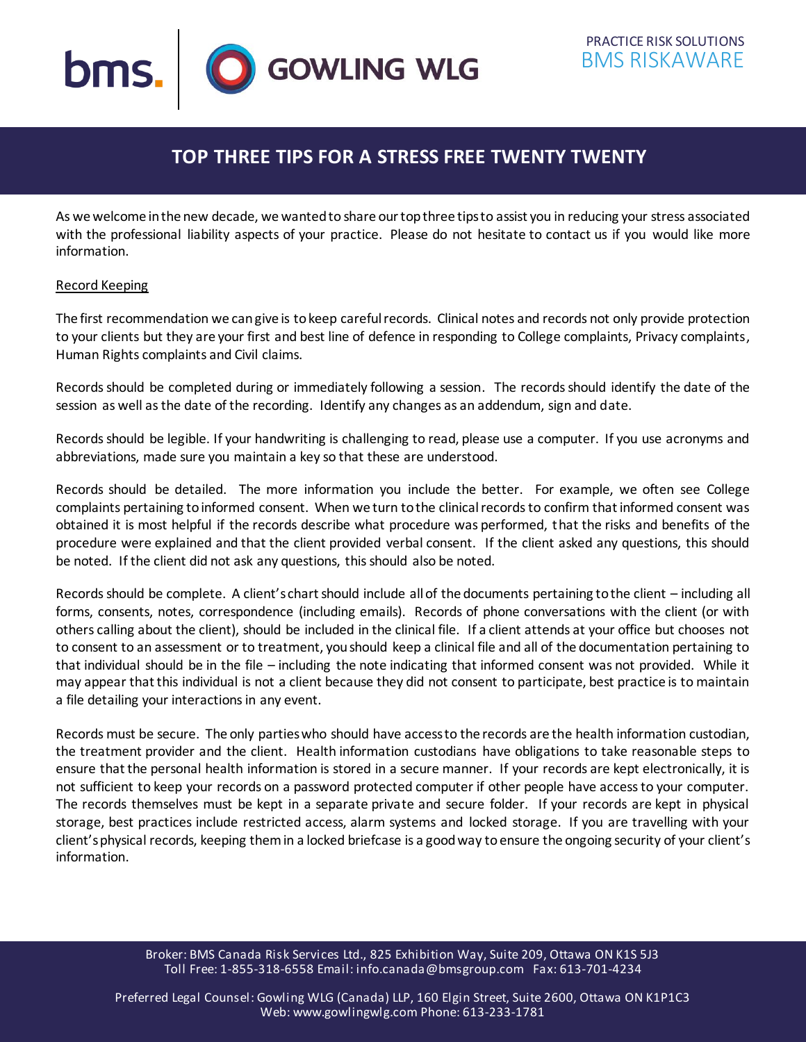

# **TOP THREE TIPS FOR A STRESS FREE TWENTY TWENTY**

As we welcome in the new decade, we wanted to share our top three tips to assist you in reducing your stress associated with the professional liability aspects of your practice. Please do not hesitate to contact us if you would like more information.

## Record Keeping

The first recommendation we can give is to keep carefulrecords. Clinical notes and records not only provide protection to your clients but they are your first and best line of defence in responding to College complaints, Privacy complaints, Human Rights complaints and Civil claims.

Records should be completed during or immediately following a session. The records should identify the date of the session as well as the date of the recording. Identify any changes as an addendum, sign and date.

Records should be legible. If your handwriting is challenging to read, please use a computer. If you use acronyms and abbreviations, made sure you maintain a key so that these are understood.

Records should be detailed. The more information you include the better. For example, we often see College complaints pertaining to informed consent. When we turn to the clinical records to confirm that informed consent was obtained it is most helpful if the records describe what procedure was performed, that the risks and benefits of the procedure were explained and that the client provided verbal consent. If the client asked any questions, this should be noted. If the client did not ask any questions, this should also be noted.

Records should be complete. A client's chart should include all of the documents pertaining to the client – including all forms, consents, notes, correspondence (including emails). Records of phone conversations with the client (or with others calling about the client), should be included in the clinical file. If a client attends at your office but chooses not to consent to an assessment or to treatment, you should keep a clinical file and all of the documentation pertaining to that individual should be in the file – including the note indicating that informed consent was not provided. While it may appear that this individual is not a client because they did not consent to participate, best practice is to maintain a file detailing your interactions in any event.

Records must be secure. The only parties who should have access to the records are the health information custodian, the treatment provider and the client. Health information custodians have obligations to take reasonable steps to ensure that the personal health information is stored in a secure manner. If your records are kept electronically, it is not sufficient to keep your records on a password protected computer if other people have access to your computer. The records themselves must be kept in a separate private and secure folder. If your records are kept in physical storage, best practices include restricted access, alarm systems and locked storage. If you are travelling with your client's physical records, keeping them in a locked briefcase is a good way toensure the ongoing security of your client's information.

> Broker: BMS Canada Risk Services Ltd., 825 Exhibition Way, Suite 209, Ottawa ON K1S 5J3 Toll Free: 1-855-318-6558 Email: info.canada@bmsgroup.com Fax: 613-701-4234